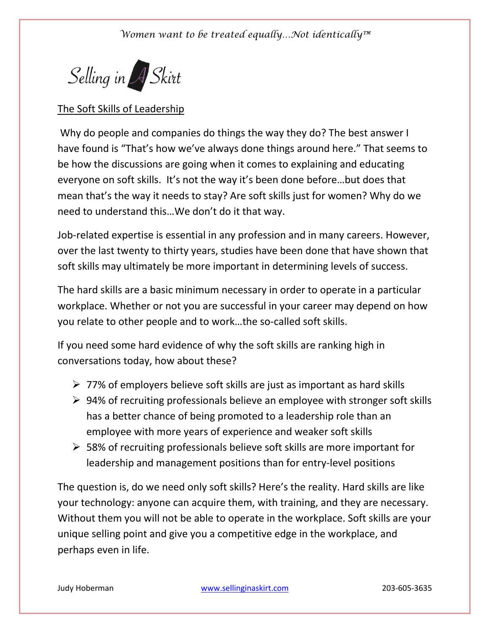## *Women want to be treated equally…Not identically™*



## The Soft Skills of Leadership

Why do people and companies do things the way they do? The best answer I have found is "That's how we've always done things around here." That seems to be how the discussions are going when it comes to explaining and educating everyone on soft skills. It's not the way it's been done before…but does that mean that's the way it needs to stay? Are soft skills just for women? Why do we need to understand this…We don't do it that way.

Job-related expertise is essential in any profession and in many careers. However, over the last twenty to thirty years, studies have been done that have shown that soft skills may ultimately be more important in determining levels of success.

The hard skills are a basic minimum necessary in order to operate in a particular workplace. Whether or not you are successful in your career may depend on how you relate to other people and to work…the so-called soft skills.

If you need some hard evidence of why the soft skills are ranking high in conversations today, how about these?

- $\geq 77\%$  of employers believe soft skills are just as important as hard skills
- $\geq 94\%$  of recruiting professionals believe an employee with stronger soft skills has a better chance of being promoted to a leadership role than an employee with more years of experience and weaker soft skills
- $\geq$  58% of recruiting professionals believe soft skills are more important for leadership and management positions than for entry-level positions

The question is, do we need only soft skills? Here's the reality. Hard skills are like your technology: anyone can acquire them, with training, and they are necessary. Without them you will not be able to operate in the workplace. Soft skills are your unique selling point and give you a competitive edge in the workplace, and perhaps even in life.